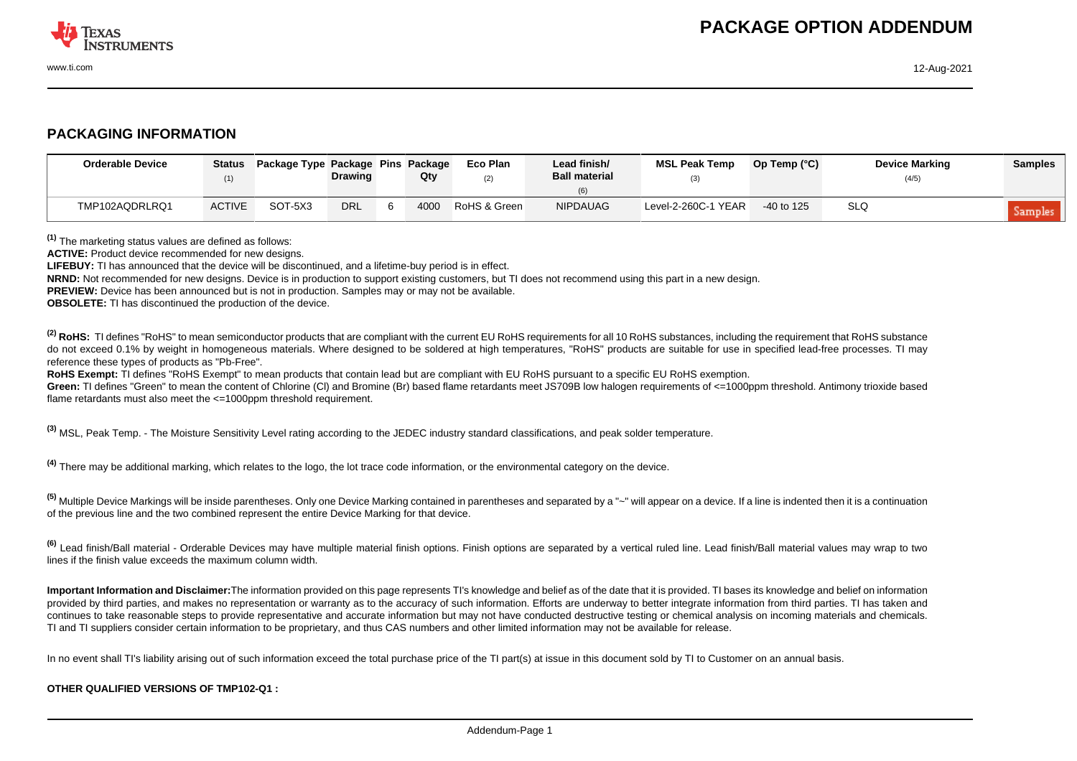

## **PACKAGING INFORMATION**

| <b>Orderable Device</b> |               | Status Package Type Package Pins Package | <b>Drawing</b> |    | Qty  | Eco Plan<br>(2) | Lead finish/<br><b>Ball material</b> | <b>MSL Peak Temp</b> | Op Temp (°C) | <b>Device Marking</b><br>(4/5) | <b>Samples</b> |
|-------------------------|---------------|------------------------------------------|----------------|----|------|-----------------|--------------------------------------|----------------------|--------------|--------------------------------|----------------|
| TMP102AQDRLRQ1          | <b>ACTIVE</b> | SOT-5X3                                  | <b>DRL</b>     | -6 | 4000 | RoHS & Green    | <b>NIPDAUAG</b>                      | Level-2-260C-1 YEAR  | $-40$ to 125 | <b>SLQ</b>                     | Samples        |

**(1)** The marketing status values are defined as follows:

**ACTIVE:** Product device recommended for new designs.

**LIFEBUY:** TI has announced that the device will be discontinued, and a lifetime-buy period is in effect.

**NRND:** Not recommended for new designs. Device is in production to support existing customers, but TI does not recommend using this part in a new design.

**PREVIEW:** Device has been announced but is not in production. Samples may or may not be available.

**OBSOLETE:** TI has discontinued the production of the device.

<sup>(2)</sup> RoHS: TI defines "RoHS" to mean semiconductor products that are compliant with the current EU RoHS requirements for all 10 RoHS substances, including the requirement that RoHS substance do not exceed 0.1% by weight in homogeneous materials. Where designed to be soldered at high temperatures. "RoHS" products are suitable for use in specified lead-free processes. TI may reference these types of products as "Pb-Free".

**RoHS Exempt:** TI defines "RoHS Exempt" to mean products that contain lead but are compliant with EU RoHS pursuant to a specific EU RoHS exemption.

Green: TI defines "Green" to mean the content of Chlorine (CI) and Bromine (Br) based flame retardants meet JS709B low halogen requirements of <=1000ppm threshold. Antimony trioxide based flame retardants must also meet the <=1000ppm threshold requirement.

**(3)** MSL, Peak Temp. - The Moisture Sensitivity Level rating according to the JEDEC industry standard classifications, and peak solder temperature.

**(4)** There may be additional marking, which relates to the logo, the lot trace code information, or the environmental category on the device.

**(5)** Multiple Device Markings will be inside parentheses. Only one Device Marking contained in parentheses and separated by a "~" will appear on a device. If a line is indented then it is a continuation of the previous line and the two combined represent the entire Device Marking for that device.

**(6)** Lead finish/Ball material - Orderable Devices may have multiple material finish options. Finish options are separated by a vertical ruled line. Lead finish/Ball material values may wrap to two lines if the finish value exceeds the maximum column width.

**Important Information and Disclaimer:**The information provided on this page represents TI's knowledge and belief as of the date that it is provided. TI bases its knowledge and belief on information provided by third parties, and makes no representation or warranty as to the accuracy of such information. Efforts are underway to better integrate information from third parties. TI has taken and continues to take reasonable steps to provide representative and accurate information but may not have conducted destructive testing or chemical analysis on incoming materials and chemicals. TI and TI suppliers consider certain information to be proprietary, and thus CAS numbers and other limited information may not be available for release.

In no event shall TI's liability arising out of such information exceed the total purchase price of the TI part(s) at issue in this document sold by TI to Customer on an annual basis.

## **OTHER QUALIFIED VERSIONS OF TMP102-Q1 :**